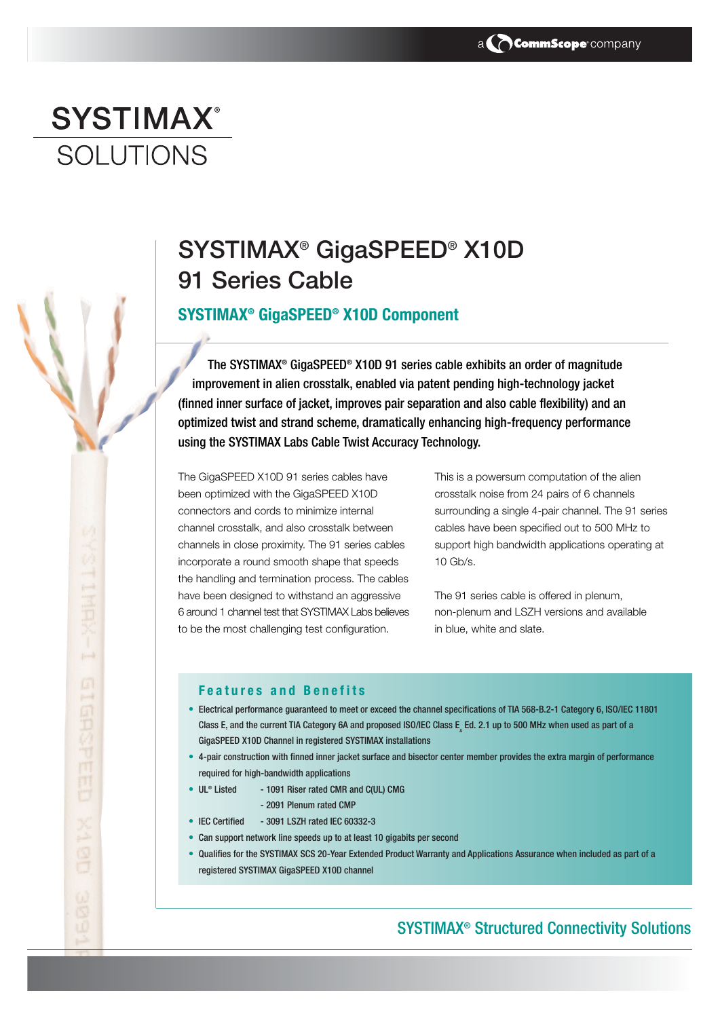# **SYSTIMAX® SOLUTIONS**

黑

印记的可用用口

## SYSTIMAX® GigaSPEED® X10D 91 Series Cable

## **SYSTIMAX® GigaSPEED® X10D Component**

The SYSTIMAX® GigaSPEED® X10D 91 series cable exhibits an order of magnitude improvement in alien crosstalk, enabled via patent pending high-technology jacket (finned inner surface of jacket, improves pair separation and also cable flexibility) and an optimized twist and strand scheme, dramatically enhancing high-frequency performance using the SYSTIMAX Labs Cable Twist Accuracy Technology.

The GigaSPEED X10D 91 series cables have been optimized with the GigaSPEED X10D connectors and cords to minimize internal channel crosstalk, and also crosstalk between channels in close proximity. The 91 series cables incorporate a round smooth shape that speeds the handling and termination process. The cables have been designed to withstand an aggressive 6 around 1 channel test that SYSTIMAX Labs believes to be the most challenging test configuration.

This is a powersum computation of the alien crosstalk noise from 24 pairs of 6 channels surrounding a single 4-pair channel. The 91 series cables have been specified out to 500 MHz to support high bandwidth applications operating at  $10$  Gb/s.

The 91 series cable is offered in plenum, non-plenum and LSZH versions and available in blue, white and slate.

#### **Features and Benefits**

- Electrical performance guaranteed to meet or exceed the channel specifications of TIA 568-B.2-1 Category 6, ISO/IEC 11801 Class E, and the current TIA Category 6A and proposed ISO/IEC Class E, Ed. 2.1 up to 500 MHz when used as part of a GigaSPEED X10D Channel in registered SYSTIMAX installations
- 4-pair construction with finned inner jacket surface and bisector center member provides the extra margin of performance required for high-bandwidth applications
- UL® Listed 1091 Riser rated CMR and C(UL) CMG
	- 2091 Plenum rated CMP
- IEC Certified 3091 LSZH rated IEC 60332-3
- Can support network line speeds up to at least 10 gigabits per second
- Qualifies for the SYSTIMAX SCS 20-Year Extended Product Warranty and Applications Assurance when included as part of a registered SYSTIMAX GigaSPEED X10D channel

## SYSTIMAX® Structured Connectivity Solutions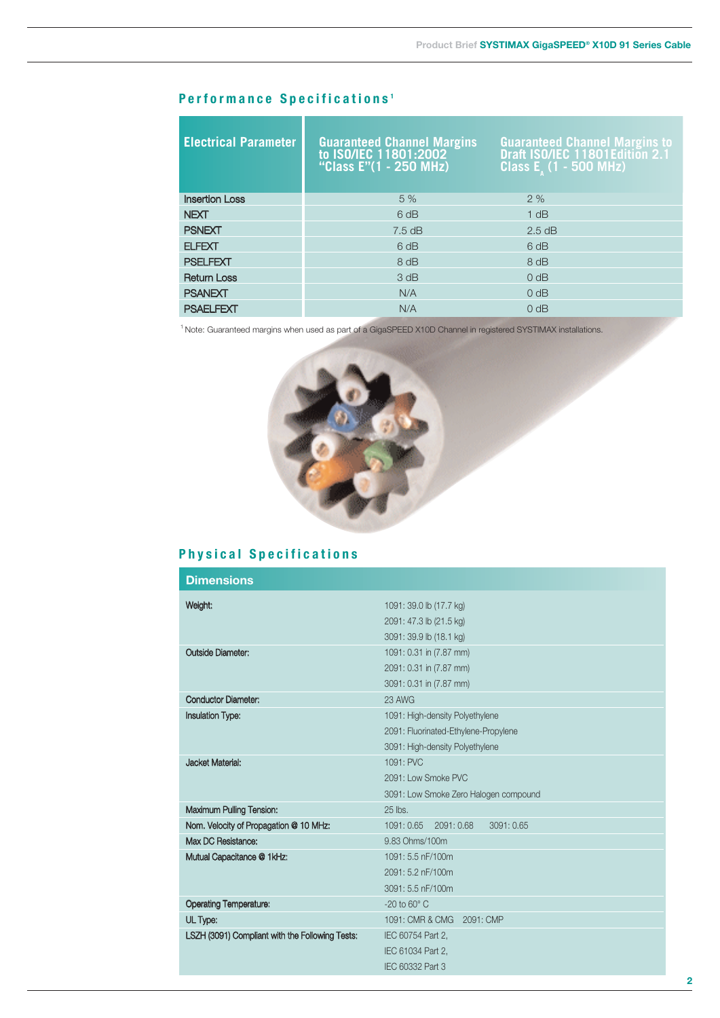### **Performance Specifications <sup>1</sup>**

| <b>Electrical Parameter</b> | <b>Guaranteed Channel Margins to ISO/IEC 11801:2002</b><br>"Class E"(1 - 250 MHz) | <b>Guaranteed Channel Margins to Draft ISO/IEC 11801Edition 2.1</b><br>Class $E_{\lambda}$ (1 - 500 MHz) |
|-----------------------------|-----------------------------------------------------------------------------------|----------------------------------------------------------------------------------------------------------|
| <b>Insertion Loss</b>       | 5 %                                                                               | 2%                                                                                                       |
| <b>NEXT</b>                 | 6 dB                                                                              | 1 dB                                                                                                     |
| <b>PSNEXT</b>               | $7.5 \text{ dB}$                                                                  | $2.5$ dB                                                                                                 |
| <b>ELFEXT</b>               | 6 dB                                                                              | 6 dB                                                                                                     |
| <b>PSELFEXT</b>             | 8 dB                                                                              | 8 dB                                                                                                     |
| <b>Return Loss</b>          | 3 dB                                                                              | 0 dB                                                                                                     |
| <b>PSANEXT</b>              | N/A                                                                               | 0 dB                                                                                                     |
| <b>PSAELFEXT</b>            | N/A                                                                               | 0 dB                                                                                                     |

<sup>1</sup> Note: Guaranteed margins when used as part of a GigaSPEED X10D Channel in registered SYSTIMAX installations.



## **Physical Specifications**

| <b>Dimensions</b>                               |                                       |  |  |
|-------------------------------------------------|---------------------------------------|--|--|
| Weight:                                         | 1091: 39.0 lb (17.7 kg)               |  |  |
|                                                 | 2091: 47.3 lb (21.5 kg)               |  |  |
|                                                 | 3091: 39.9 lb (18.1 kg)               |  |  |
| <b>Outside Diameter:</b>                        | 1091: 0.31 in (7.87 mm)               |  |  |
|                                                 | 2091: 0.31 in (7.87 mm)               |  |  |
|                                                 | 3091: 0.31 in (7.87 mm)               |  |  |
| <b>Conductor Diameter:</b>                      | 23 AWG                                |  |  |
| <b>Insulation Type:</b>                         | 1091: High-density Polyethylene       |  |  |
|                                                 | 2091: Fluorinated-Ethylene-Propylene  |  |  |
|                                                 | 3091: High-density Polyethylene       |  |  |
| Jacket Material:                                | 1091: PVC                             |  |  |
|                                                 | 2091: Low Smoke PVC                   |  |  |
|                                                 | 3091: Low Smoke Zero Halogen compound |  |  |
| <b>Maximum Pulling Tension:</b>                 | 25 lbs.                               |  |  |
| Nom. Velocity of Propagation @ 10 MHz:          | 1091: 0.65 2091: 0.68<br>3091: 0.65   |  |  |
| Max DC Resistance:                              | 9.83 Ohms/100m                        |  |  |
| Mutual Capacitance @ 1kHz:                      | 1091: 5.5 nF/100m                     |  |  |
|                                                 | 2091: 5.2 nF/100m                     |  |  |
|                                                 | 3091: 5.5 nF/100m                     |  |  |
| <b>Operating Temperature:</b>                   | $-20$ to $60^{\circ}$ C               |  |  |
| UL Type:                                        | 1091: CMR & CMG 2091: CMP             |  |  |
| LSZH (3091) Compliant with the Following Tests: | IEC 60754 Part 2,                     |  |  |
|                                                 | IEC 61034 Part 2,                     |  |  |
|                                                 | IEC 60332 Part 3                      |  |  |